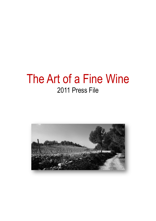# The Art of a Fine Wine 2011 Press File

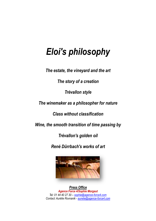# *Eloi's philosophy*

*The estate, the vineyard and the art*

*The story of a creation*

*Trévallon style*

*The winemaker as a philosopher for nature*

*Class without classification*

*Wine, the smooth transition of time passing by*

*Trévallon's golden oil*

*René Dürrbach's works of art*



*Press Office Agence Force 4/Sophie Morgaut Tel: 01 44 40 27 30 – [sophie@agence-force4.com](mailto:sophie@agence-force4.com) Contact: Aurélie Rovnanik - [aurelie@agence-force4.com](mailto:aurelie@agence-force4.com)*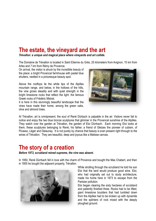### **The estate, the vineyard and the art**

*Trévallon: a unique and magical place where vineyards and art collide.* 

The Domaine de Trévallon is located in Saint Etienne du Grès, 25 kilometers from Avignon, 15 km from Arles and 7 km from Rémy de Provence.

On arrival, the visitor is struck by the incredible beauty of the place: a bright Provencal farmhouse with pastel blue shutters, nestled in a picturesque beauty spot.

Above the rooftops lie the white tips of the Alpilles mountain range, and below, in the hollows of the hills, the vine grows steadily and with quiet strength in the bright limestone rocks that reflect the light: the famous Greek rocks of Frédéric Mistral.

It is here in this stunningly beautiful landscape that the vines have made their home, among the green oaks, olive and almond trees.



At Trévallon, art is omnipresent, the soul of René Dürbach is palpable in the air. Visitors never fail to notice and enjoy the two blue bronze sculptures that glimmer in the Provencal sunshine of the Alpilles. They watch over the garden at Trévallon, the garden of Eloi Dürrbach. Each morning Eloi looks at them, these sculptures belonging to René, his father, a friend of Gleizes the pioneer of cubism, of Picasso, Léger and Delaunay. It is not purely by chance that beauty is ever-present right through to the wines of Trévallon. They are beautiful, deep and joyous like a Matisse canvas.

#### **The story of a creation**

*Before 1973, scrubland reined supreme, the vine was absent.* 

In 1950, René Dürrbach fell in love with the charm of Provence and bought the Mas Chabert, and then in 1955 he bought the adjacent property, Trévallon.



While strolling through the scrubland he told his son Eloi that the land would produce good wine. Eloi, who had originally set out to study architecture, made his home here in 1973 to escape from the Parisian pollution.

Eloi began clearing the sixty hectares of scrubland and patiently finished three. Rocks had to be lifted, giant limestone boulders that had tumbled down from the Alpilles had to be broken up with dynamite and the splinters of rock mixed with the deeply ploughed ground.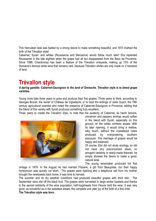This Herculean task was fuelled by a strong desire to make something beautiful, and 1973 marked the birth of the Trévallon style!

Cabernet, Syrah, and whites (Roussanne and Marsanne) would follow much later! Eloi replanted Roussanne in the late eighties when the grape had all but disappeared from the Baux de Provence. Since 1998, Chardonnay has been a feature of the Trévallon vineyards, making up 10% of the Domaine's famous white wine that remains rare, because Trévallon whites are only made on 2 hectares of land.

#### **Trévallon style**

#### *A daring gamble: Cabernet-Sauvignon in the land of Grenache. Trévallon style is to blend grape varieties.*

Young vines take three years to grow and produce their first grapes. Three years to think, according to Georges Brunet, the owner of Château de Vignelaure, or to read the writings of Jules Guyot, the 19th century agricultural scientist who noted the presence of Cabernet-Sauvignon in Provence, adding that the blend of this variety with Syrah produces something truly excellent.

Three years to create the Trévallon style, to note that the austerity of Cabernet, its harsh tannins,



cinnamon and peppery aromas would soften in the blend with Syrah, especially on this ground, on the colder northern slopes. With its later ripening, it would bring a mellow, silky touch, without the crystallized notes produced by overpowering southern exposure. This marriage of grapes would be happy and balanced.

Of course, Eloi did not study enology, so did not have any preconceived ideas, no arrogant certainty or ready-made theories, he simply showed the desire to make a good, natural wine.

The young winemaker produced his first

vintage in 1976. In the August he had married Floriane, a girl from Beaujolais, but their happy honeymoon was quickly cut short. The grapes were ripening and a telephone call from his mother brought the newlyweds back home; it was time to harvest.

The summer and its dry weather conditions had produced beautiful grapes with thick skin. The September rains slid off the black fruit. The grapes were harvested in large wicker baskets and thanks to the sacred solidarity of the wine population, half-hogsheads from Fleurie held the wine. It was very good, as wonderful as in the sweetest dream, the complete and utter joy of the birth of a first child. **The Trévallon style was born.**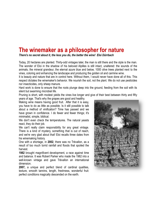#### **The winemaker as a philosopher for nature**

*There's no secret about it, the less you do, the better the wine! Eloi Dürrbach*

Today, 20 hectares are planted. Thirty-odd vintages later, the man is still there and the style is the man. The wonder of Eloi in the shadow of his beloved Alpilles is still intact, unaltered: the sounds of the animals, the mineral grandeur, the eternal azure blue and below, 1000 olive trees planted next to the vines, coloring and enhancing the landscape and producing the golden oil and carmine wine.

It is beauty and nature that are in control here. Without them, I would never have done all of this. This respect dictates the winemaker's behavior. We nourish the soil, not the plant. We do not use pesticides nor insecticides, only sheep manure.

Hard work is done to ensure that the roots plunge deep into the ground, feeding from the soil with its silent but swarming microbial life.

Pruning is short, with modest yields the vines live longer and give of their best between thirty and fifty years of age. That's why the grapes are good and healthy.

Making wine means having good fruit. After that it is easy, you have to do as little as possible. Is it still possible to talk about a method of vinification? Time has passed and we have grown in confidence. I do fewer and fewer things; it's minimalist, simple, biblical.

We don't even check the temperatures. The natural yeasts react, they do their job.

We can't really claim responsibility for any great vintage. There is a kind of mystery, something that is out of reach, and we're very glad about that! Eloi recalls three dates from his winemaking history.

One with a shortage, in **2002**, there was no Trévallon, as a result of too much torrid rainfall and floods that spoiled the harvest.

**1982** brought magnificent development, a race against time and balance. It was Robert Parker who made the 1982 into a well-known vintage and gave Trévallon an international dimension.

**2007,** a unique and perfect blend of cardinal qualities, texture, smooth tannins, length, freshness, wonderful fruit: perfect conditions magically descended on the earth.

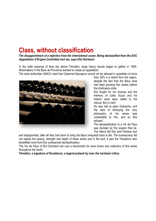# **Class, without classification**

*The disappointment of a rejection from the international scene. Being declassified from the AOC (Appellation d'Origine Contrôlée) hurt me, says Eloi Dürrbach.*

In the wide expanse of blue sky above Trévallon, large heavy clouds began to gather in 1993. Winemakers in the Baux de Provence wanted to create an appellation.

The wine authorities (INAO) ruled that Cabernet-Sauvignon would not be allowed in quantities of more



than 20% in a blend from the region, despite the fact that the Baux area had been growing this variety before the phylloxera crisis.

Eloi fought for his choices and the memory of Jules Guyot and his historic work were called to the rescue. But in vain!

He was told to plant Grenache, and the idea of betraying the very philosophy of his wines was unbearable to him, and so Eloi refused.

The declassification to a Vin de Pays was decided by the powers that be. The fallout left Eloi and Floriane hurt

and disappointed, after all they had done to bring the Baux vineyards back to life. The bureaucracy did not realize the beauty, strength and depth of these wines and in the end, it was the Trévallons who benefitted most from this undeserved declassification.

The Vin de Pays of Eloi Dürrbach are now a benchmark for wine lovers and collectors of fine wines throughout the world.

**Trévallon, a signature of Excellence, a legend praised by even the harshest critics.**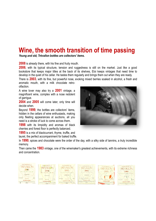### **Wine, the smooth transition of time passing**

*Young and old, Trévallon bottles are collectors' items.*

**2008** is already there, with his fine and fruity mouth.

**2006**, with its typical structure, tension and ruggedness is still on the market. Just like a good bookstore that keeps major titles at the back of its shelves, Eloi keeps vintages that need time to develop in the quiet of his cellar. He tastes them regularly and brings them out when they are ready.

There is **2003**, with its fine, but powerful nose, evoking mixed berries soaked in alcohol, a fresh and aromatic mouth, with a milk chocolate retro-

olfaction. A wine lover may also try a **2001** vintage, a

magnificent wine, complex with a nose redolent of garrigue.

**2004** and **2005** will come later, only time will decide when.

Beyond **1999**, the bottles are collectors' items, hidden in the cellars of wine enthusiasts, making only fleeting appearances at auctions, all you need is a stroke of luck to come across them.

**1998** with its limpidity and aromas of black cherries and forest floor is perfectly balanced.

**1995** is a mix of blackcurrant, thyme, truffle, and laurel, the perfect accompaniment for baked truffle.

In **1990**, spices and chocolate were the order of the day, with a silky side of tannins, a truly incredible memory.

Then came the **1983** vintage, one of the winemaker's greatest achievements, with its extreme richness and concentration.